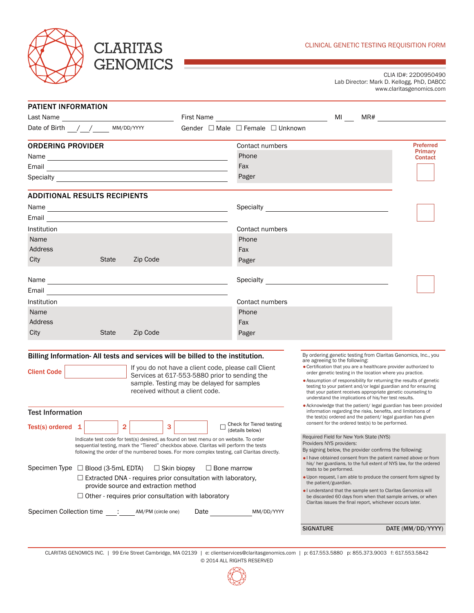

## **CLARITAS GENOMICS**

CLIA ID#: 22D0950490 Lab Director: Mark D. Kellogg, PhD, DABCC www.claritasgenomics.com

| <b>PATIENT INFORMATION</b>                                                                                                                                                                                                           |                             |                                  |                                                                                                                                                                                                   |                                                  |                                                                   |
|--------------------------------------------------------------------------------------------------------------------------------------------------------------------------------------------------------------------------------------|-----------------------------|----------------------------------|---------------------------------------------------------------------------------------------------------------------------------------------------------------------------------------------------|--------------------------------------------------|-------------------------------------------------------------------|
|                                                                                                                                                                                                                                      |                             |                                  | <b>MI</b>                                                                                                                                                                                         |                                                  |                                                                   |
| Date of Birth $\frac{1}{\sqrt{1-\frac{1}{2}}}$ MM/DD/YYYY                                                                                                                                                                            |                             | Gender □ Male □ Female □ Unknown |                                                                                                                                                                                                   |                                                  |                                                                   |
| <b>ORDERING PROVIDER</b>                                                                                                                                                                                                             |                             | Contact numbers                  |                                                                                                                                                                                                   |                                                  | <b>Preferred</b>                                                  |
|                                                                                                                                                                                                                                      |                             | Phone                            |                                                                                                                                                                                                   |                                                  | Primary<br><b>Contact</b>                                         |
| Email <u>and a complete the complete state of the complete state of the complete state of the complete state of the complete state of the complete state of the complete state of the complete state of the complete state of th</u> |                             | Fax                              |                                                                                                                                                                                                   |                                                  |                                                                   |
| Specialty <b>Exercise Specialty</b>                                                                                                                                                                                                  |                             | Pager                            |                                                                                                                                                                                                   |                                                  |                                                                   |
| <b>ADDITIONAL RESULTS RECIPIENTS</b>                                                                                                                                                                                                 |                             |                                  |                                                                                                                                                                                                   |                                                  |                                                                   |
|                                                                                                                                                                                                                                      |                             |                                  |                                                                                                                                                                                                   |                                                  |                                                                   |
| Email <u>and a complete the contract of the contract of the contract of the contract of the contract of the contract of the contract of the contract of the contract of the contract of the contract of the contract of the cont</u> |                             |                                  |                                                                                                                                                                                                   |                                                  |                                                                   |
| Institution                                                                                                                                                                                                                          |                             | Contact numbers                  |                                                                                                                                                                                                   |                                                  |                                                                   |
| Name                                                                                                                                                                                                                                 |                             | Phone                            |                                                                                                                                                                                                   |                                                  |                                                                   |
| Address                                                                                                                                                                                                                              |                             | Fax                              |                                                                                                                                                                                                   |                                                  |                                                                   |
| City<br><b>State</b><br>Zip Code                                                                                                                                                                                                     |                             | Pager                            |                                                                                                                                                                                                   |                                                  |                                                                   |
|                                                                                                                                                                                                                                      |                             |                                  |                                                                                                                                                                                                   |                                                  |                                                                   |
| Email<br><u> 1980 - Andrea Station Barbara, amerikan personal (h. 1980).</u>                                                                                                                                                         |                             |                                  |                                                                                                                                                                                                   |                                                  |                                                                   |
| <b>Institution</b>                                                                                                                                                                                                                   |                             | Contact numbers                  |                                                                                                                                                                                                   |                                                  |                                                                   |
| Name                                                                                                                                                                                                                                 |                             | Phone                            |                                                                                                                                                                                                   |                                                  |                                                                   |
| Address                                                                                                                                                                                                                              |                             | Fax                              |                                                                                                                                                                                                   |                                                  |                                                                   |
| City<br><b>State</b><br>Zip Code                                                                                                                                                                                                     |                             | Pager                            |                                                                                                                                                                                                   |                                                  |                                                                   |
|                                                                                                                                                                                                                                      |                             |                                  |                                                                                                                                                                                                   |                                                  |                                                                   |
| Billing Information-All tests and services will be billed to the institution.                                                                                                                                                        |                             |                                  | By ordering genetic testing from Claritas Genomics, Inc., you                                                                                                                                     |                                                  |                                                                   |
| If you do not have a client code, please call Client                                                                                                                                                                                 |                             |                                  | are agreeing to the following:<br>• Certification that you are a healthcare provider authorized to                                                                                                |                                                  |                                                                   |
| <b>Client Code</b><br>Services at 617-553-5880 prior to sending the<br>sample. Testing may be delayed for samples<br>received without a client code.                                                                                 |                             |                                  | order genetic testing in the location where you practice.<br>• Assumption of responsibility for returning the results of genetic                                                                  |                                                  |                                                                   |
|                                                                                                                                                                                                                                      |                             |                                  | testing to your patient and/or legal guardian and for ensuring<br>that your patient receives appropriate genetic counseling to<br>understand the implications of his/her test results.            |                                                  |                                                                   |
| <b>Test Information</b>                                                                                                                                                                                                              |                             |                                  | • Acknowledge that the patient/legal guardian has been provided<br>information regarding the risks, benefits, and limitations of<br>the test(s) ordered and the patient/ legal guardian has given |                                                  |                                                                   |
| Check for Tiered testing<br>$\overline{2}$<br>3<br>Test(s) ordered $1$<br>(details below)                                                                                                                                            |                             |                                  |                                                                                                                                                                                                   | consent for the ordered test(s) to be performed. |                                                                   |
| Indicate test code for test(s) desired, as found on test menu or on website. To order                                                                                                                                                |                             |                                  | Required Field for New York State (NYS)                                                                                                                                                           |                                                  |                                                                   |
| sequential testing, mark the "Tiered" checkbox above. Claritas will perform the tests<br>following the order of the numbered boxes. For more complex testing, call Claritas directly.                                                |                             |                                  | Providers NYS providers:<br>By signing below, the provider confirms the following:                                                                                                                |                                                  |                                                                   |
| Specimen Type □ Blood (3-5mL EDTA)                                                                                                                                                                                                   |                             |                                  | I have obtained consent from the patient named above or from                                                                                                                                      |                                                  | his/her guardians, to the full extent of NYS law, for the ordered |
| $\Box$ Skin biopsy<br>$\Box$ Bone marrow<br>$\Box$ Extracted DNA - requires prior consultation with laboratory,                                                                                                                      |                             |                                  | tests to be performed.<br>. Upon request, I am able to produce the consent form signed by<br>the patient/guardian.                                                                                |                                                  |                                                                   |
| provide source and extraction method                                                                                                                                                                                                 |                             |                                  | . I understand that the sample sent to Claritas Genomics will                                                                                                                                     |                                                  |                                                                   |
| $\Box$ Other - requires prior consultation with laboratory                                                                                                                                                                           |                             |                                  | be discarded 60 days from when that sample arrives, or when<br>Claritas issues the final report, whichever occurs later.                                                                          |                                                  |                                                                   |
| Specimen Collection time : AM/PM (circle one)                                                                                                                                                                                        | Date $\qquad \qquad \qquad$ | MM/DD/YYYY                       |                                                                                                                                                                                                   |                                                  |                                                                   |
|                                                                                                                                                                                                                                      |                             |                                  | <b>SIGNATURE</b>                                                                                                                                                                                  |                                                  | DATE (MM/DD/YYYY)                                                 |
|                                                                                                                                                                                                                                      |                             |                                  |                                                                                                                                                                                                   |                                                  |                                                                   |
|                                                                                                                                                                                                                                      |                             |                                  |                                                                                                                                                                                                   |                                                  |                                                                   |

CLARITAS GENOMICS INC. | 99 Erie Street Cambridge, MA 02139 | e: clientservices@claritasgenomics.com | p: 617.553.5880 p: 855.373.9003 f: 617.553.5842 © 2014 ALL RIGHTS RESERVED